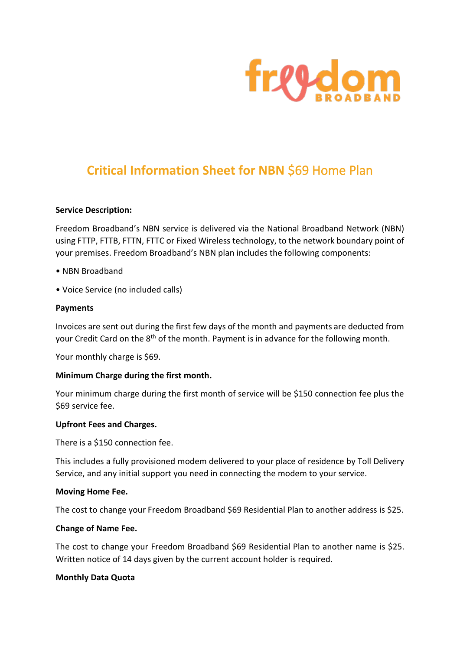

# **Critical Information Sheet for NBN** \$69 Home Plan

#### **Service Description:**

Freedom Broadband's NBN service is delivered via the National Broadband Network (NBN) using FTTP, FTTB, FTTN, FTTC or Fixed Wireless technology, to the network boundary point of your premises. Freedom Broadband's NBN plan includes the following components:

- NBN Broadband
- Voice Service (no included calls)

#### **Payments**

Invoices are sent out during the first few days of the month and payments are deducted from your Credit Card on the 8<sup>th</sup> of the month. Payment is in advance for the following month.

Your monthly charge is \$69.

#### **Minimum Charge during the first month.**

Your minimum charge during the first month of service will be \$150 connection fee plus the \$69 service fee.

#### **Upfront Fees and Charges.**

There is a \$150 connection fee.

This includes a fully provisioned modem delivered to your place of residence by Toll Delivery Service, and any initial support you need in connecting the modem to your service.

#### **Moving Home Fee.**

The cost to change your Freedom Broadband \$69 Residential Plan to another address is \$25.

## **Change of Name Fee.**

The cost to change your Freedom Broadband \$69 Residential Plan to another name is \$25. Written notice of 14 days given by the current account holder is required.

#### **Monthly Data Quota**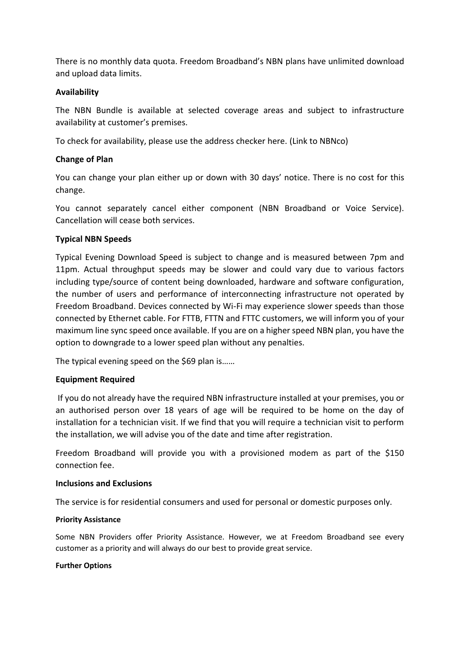There is no monthly data quota. Freedom Broadband's NBN plans have unlimited download and upload data limits.

## **Availability**

The NBN Bundle is available at selected coverage areas and subject to infrastructure availability at customer's premises.

To check for availability, please use the address checker here. (Link to NBNco)

# **Change of Plan**

You can change your plan either up or down with 30 days' notice. There is no cost for this change.

You cannot separately cancel either component (NBN Broadband or Voice Service). Cancellation will cease both services.

# **Typical NBN Speeds**

Typical Evening Download Speed is subject to change and is measured between 7pm and 11pm. Actual throughput speeds may be slower and could vary due to various factors including type/source of content being downloaded, hardware and software configuration, the number of users and performance of interconnecting infrastructure not operated by Freedom Broadband. Devices connected by Wi-Fi may experience slower speeds than those connected by Ethernet cable. For FTTB, FTTN and FTTC customers, we will inform you of your maximum line sync speed once available. If you are on a higher speed NBN plan, you have the option to downgrade to a lower speed plan without any penalties.

The typical evening speed on the \$69 plan is......

## **Equipment Required**

If you do not already have the required NBN infrastructure installed at your premises, you or an authorised person over 18 years of age will be required to be home on the day of installation for a technician visit. If we find that you will require a technician visit to perform the installation, we will advise you of the date and time after registration.

Freedom Broadband will provide you with a provisioned modem as part of the \$150 connection fee.

## **Inclusions and Exclusions**

The service is for residential consumers and used for personal or domestic purposes only.

## **Priority Assistance**

Some NBN Providers offer Priority Assistance. However, we at Freedom Broadband see every customer as a priority and will always do our best to provide great service.

## **Further Options**